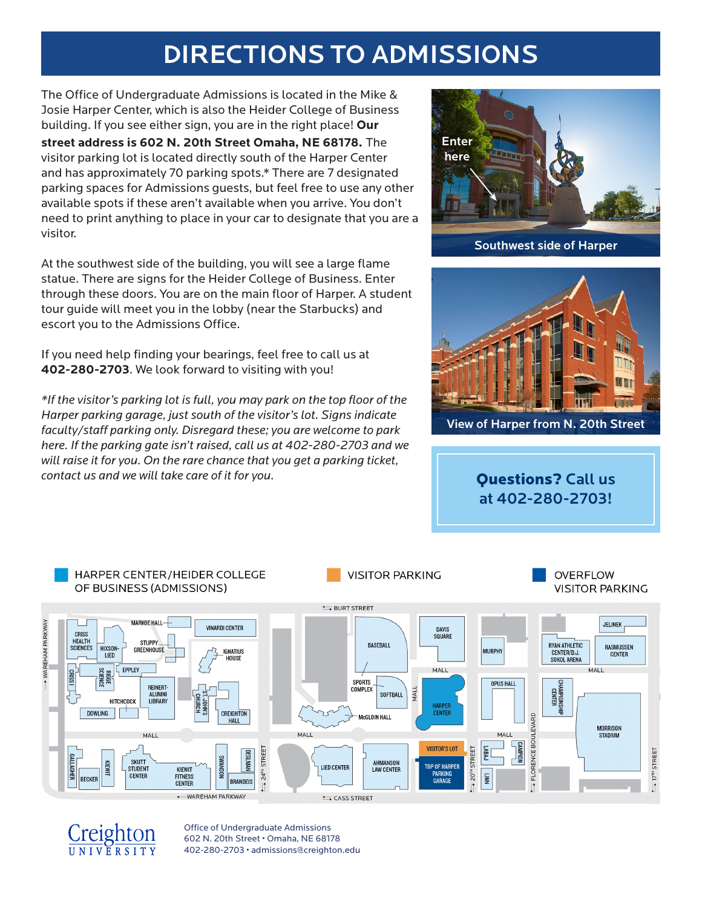# DIRECTIONS TO ADMISSIONS

The Office of Undergraduate Admissions is located in the Mike & Josie Harper Center, which is also the Heider College of Business building. If you see either sign, you are in the right place! **Our** 

**street address is 602 N. 20th Street Omaha, NE 68178.** The visitor parking lot is located directly south of the Harper Center and has approximately 70 parking spots.\* There are 7 designated parking spaces for Admissions guests, but feel free to use any other available spots if these aren't available when you arrive. You don't need to print anything to place in your car to designate that you are a visitor.

At the southwest side of the building, you will see a large flame statue. There are signs for the Heider College of Business. Enter through these doors. You are on the main floor of Harper. A student tour guide will meet you in the lobby (near the Starbucks) and escort you to the Admissions Office.

If you need help finding your bearings, feel free to call us at **402-280-2703**. We look forward to visiting with you!

*\*If the visitor's parking lot is full, you may park on the top floor of the Harper parking garage, just south of the visitor's lot. Signs indicate faculty/staff parking only. Disregard these; you are welcome to park here. If the parking gate isn't raised, call us at 402-280-2703 and we will raise it for you. On the rare chance that you get a parking ticket, contact us and we will take care of it for you.*



Southwest side of Harper



View of Harper from N. 20th Street

Questions? Call us at 402-280-2703!



Creighton

Office of Undergraduate Admissions 602 N. 20th Street • Omaha, NE 68178 402-280-2703 • admissions@creighton.edu